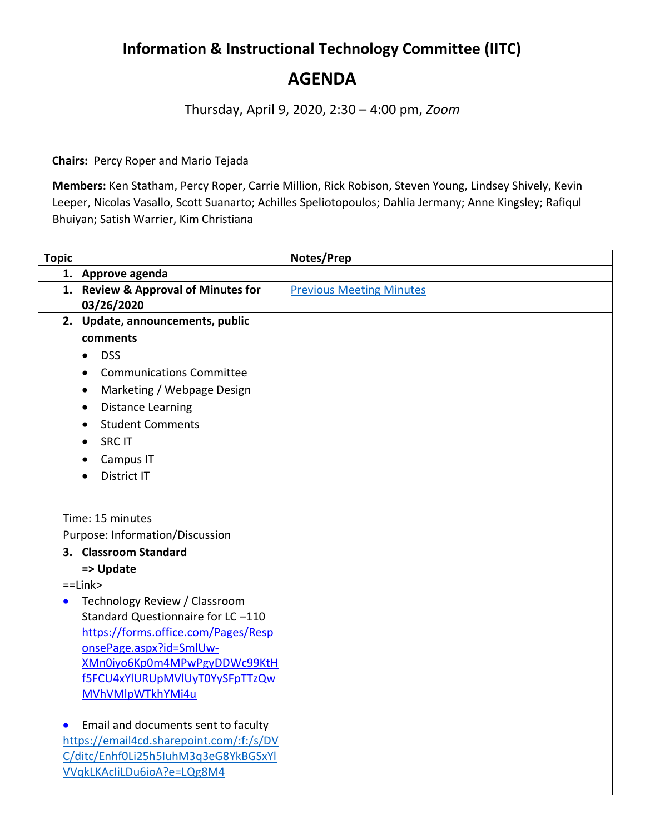## **Information & Instructional Technology Committee (IITC) AGENDA**

Thursday, April 9, 2020, 2:30 – 4:00 pm, *Zoom*

**Chairs:** Percy Roper and Mario Tejada

**Members:** Ken Statham, Percy Roper, Carrie Million, Rick Robison, Steven Young, Lindsey Shively, Kevin Leeper, Nicolas Vasallo, Scott Suanarto; Achilles Speliotopoulos; Dahlia Jermany; Anne Kingsley; Rafiqul Bhuiyan; Satish Warrier, Kim Christiana

| <b>Topic</b> |                                                          | Notes/Prep                      |
|--------------|----------------------------------------------------------|---------------------------------|
|              | 1. Approve agenda                                        |                                 |
|              | 1. Review & Approval of Minutes for                      | <b>Previous Meeting Minutes</b> |
|              | 03/26/2020                                               |                                 |
|              | 2. Update, announcements, public                         |                                 |
|              | comments                                                 |                                 |
|              | <b>DSS</b><br>$\bullet$                                  |                                 |
|              | <b>Communications Committee</b>                          |                                 |
|              | Marketing / Webpage Design                               |                                 |
|              | <b>Distance Learning</b><br>$\bullet$                    |                                 |
|              | <b>Student Comments</b>                                  |                                 |
|              | <b>SRC IT</b>                                            |                                 |
|              | Campus IT                                                |                                 |
|              | District IT                                              |                                 |
|              |                                                          |                                 |
|              | Time: 15 minutes                                         |                                 |
|              |                                                          |                                 |
|              | Purpose: Information/Discussion<br>3. Classroom Standard |                                 |
|              |                                                          |                                 |
|              | => Update<br>$=$ Link $>$                                |                                 |
| $\bullet$    | Technology Review / Classroom                            |                                 |
|              | Standard Questionnaire for LC-110                        |                                 |
|              | https://forms.office.com/Pages/Resp                      |                                 |
|              | onsePage.aspx?id=SmlUw-                                  |                                 |
|              | XMn0iyo6Kp0m4MPwPgyDDWc99KtH                             |                                 |
|              | f5FCU4xYlURUpMVlUyT0YySFpTTzQw                           |                                 |
|              | MVhVMlpWTkhYMi4u                                         |                                 |
|              |                                                          |                                 |
| $\bullet$    | Email and documents sent to faculty                      |                                 |
|              | https://email4cd.sharepoint.com/:f:/s/DV                 |                                 |
|              | C/ditc/Enhf0Li25h5IuhM3q3eG8YkBGSxYl                     |                                 |
|              | VVqkLKAcliLDu6ioA?e=LQg8M4                               |                                 |
|              |                                                          |                                 |